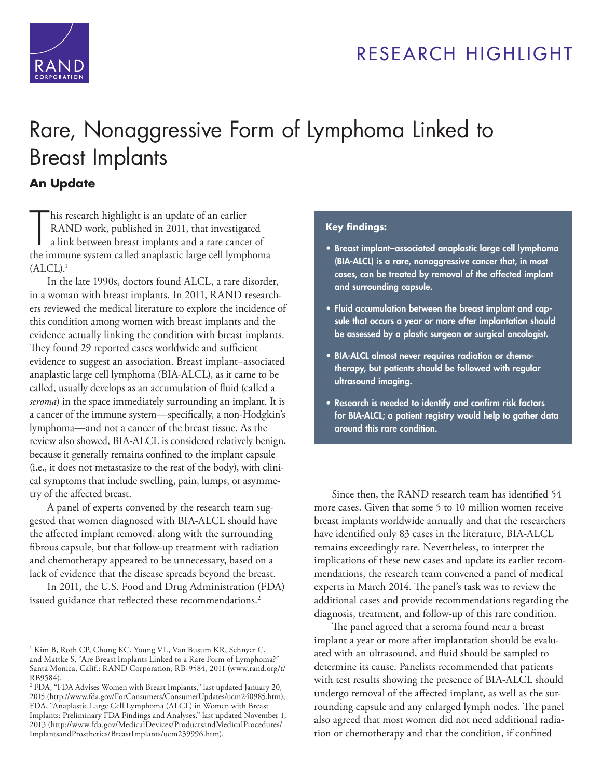

## RESEARCH HIGHLIGHT

# [Rare, Nonaggressive Form of Lymphoma Linked to](http://www.rand.org/pubs/research_briefs/RB9584z1.html)  Breast Implants

#### **An Update**

This research highlight is an update of an earlier<br>
RAND work, published in 2011, that investigated<br>
a link between breast implants and a rare cancer of<br>
the immune system called anaplastic large cell lymphoma his research highlight is an update of an earlier RAND work, published in 2011, that investigated a link between breast implants and a rare cancer of  $(ALCL)^1$ 

In the late 1990s, doctors found ALCL, a rare disorder, in a woman with breast implants. In 2011, RAND researchers reviewed the medical literature to explore the incidence of this condition among women with breast implants and the evidence actually linking the condition with breast implants. They found 29 reported cases worldwide and sufficient evidence to suggest an association. Breast implant–associated anaplastic large cell lymphoma (BIA-ALCL), as it came to be called, usually develops as an accumulation of fluid (called a *seroma*) in the space immediately surrounding an implant. It is a cancer of the immune system—specifically, a non-Hodgkin's lymphoma—and not a cancer of the breast tissue. As the review also showed, BIA-ALCL is considered relatively benign, because it generally remains confined to the implant capsule (i.e., it does not metastasize to the rest of the body), with clinical symptoms that include swelling, pain, lumps, or asymmetry of the affected breast.

A panel of experts convened by the research team suggested that women diagnosed with BIA-ALCL should have the affected implant removed, along with the surrounding fibrous capsule, but that follow-up treatment with radiation and chemotherapy appeared to be unnecessary, based on a lack of evidence that the disease spreads beyond the breast.

In 2011, the U.S. Food and Drug Administration (FDA) issued guidance that reflected these recommendations.<sup>2</sup>

#### **Key findings:**

- Breast implant–associated anaplastic large cell lymphoma (BIA-ALCL) is a rare, nonaggressive cancer that, in most cases, can be treated by removal of the affected implant and surrounding capsule.
- Fluid accumulation between the breast implant and capsule that occurs a year or more after implantation should be assessed by a plastic surgeon or surgical oncologist.
- BIA-ALCL almost never requires radiation or chemotherapy, but patients should be followed with regular ultrasound imaging.
- Research is needed to identify and confirm risk factors for BIA-ALCL; a patient registry would help to gather data around this rare condition.

Since then, the RAND research team has identified 54 more cases. Given that some 5 to 10 million women receive breast implants worldwide annually and that the researchers have identified only 83 cases in the literature, BIA-ALCL remains exceedingly rare. Nevertheless, to interpret the implications of these new cases and update its earlier recommendations, the research team convened a panel of medical experts in March 2014. The panel's task was to review the additional cases and provide recommendations regarding the diagnosis, treatment, and follow-up of this rare condition.

The panel agreed that a seroma found near a breast implant a year or more after implantation should be evaluated with an ultrasound, and fluid should be sampled to determine its cause. Panelists recommended that patients with test results showing the presence of BIA-ALCL should undergo removal of the affected implant, as well as the surrounding capsule and any enlarged lymph nodes. The panel also agreed that most women did not need additional radiation or chemotherapy and that the condition, if confined

<sup>&</sup>lt;sup>1</sup> Kim B, Roth CP, Chung KC, Young VL, Van Busum KR, Schnyer C, and Mattke S, "Are Breast Implants Linked to a Rare Form of Lymphoma?" Santa Monica, Calif.: RAND Corporation, RB-9584, 2011 [\(www.rand.org/t/](http://www.rand.org/t/RB9584) [RB9584](http://www.rand.org/t/RB9584)).

<sup>2</sup> FDA, "FDA Advises Women with Breast Implants," last updated January 20, 2015 [\(http://www.fda.gov/ForConsumers/ConsumerUpdates/ucm240985.htm\)](http://www.fda.gov/ForConsumers/ConsumerUpdates/ucm240985.htm); FDA, "Anaplastic Large Cell Lymphoma (ALCL) in Women with Breast Implants: Preliminary FDA Findings and Analyses," last updated November 1, 2013 ([http://www.fda.gov/MedicalDevices/ProductsandMedicalProcedures/](http://www.fda.gov/MedicalDevices/ProductsandMedicalProcedures/ImplantsandProsthetics/BreastImplants/ucm239996.htm) [ImplantsandProsthetics/BreastImplants/ucm239996.htm\)](http://www.fda.gov/MedicalDevices/ProductsandMedicalProcedures/ImplantsandProsthetics/BreastImplants/ucm239996.htm).